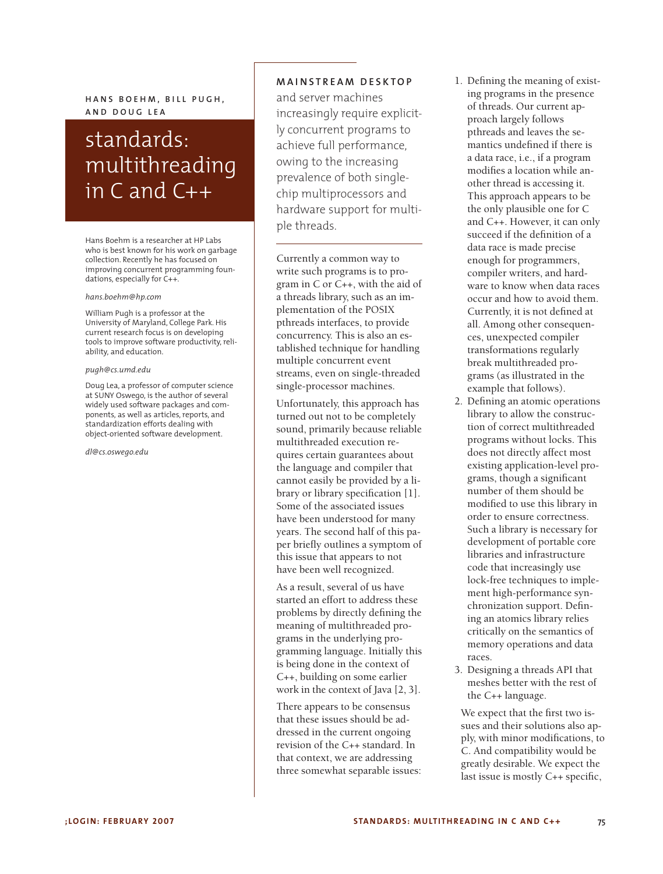$HANS$   $BOEHM$ ,  $BILL$   $PUGH$ , **A N D D O U G L E A**

# standards: multithreading in C and C++

Hans Boehm is a researcher at HP Labs who is best known for his work on garbage collection. Recently he has focused on improving concurrent programming foundations, especially for C++.

#### *hans.boehm@hp.com*

William Pugh is a professor at the University of Maryland, College Park. His current research focus is on developing tools to improve software productivity, reliability, and education.

#### *pugh@cs.umd.edu*

Doug Lea, a professor of computer science at SUNY Oswego, is the author of several widely used software packages and components, as well as articles, reports, and standardization efforts dealing with object-oriented software development.

*dl@cs.oswego.edu*

## **M A I N S T R E A M D E S K T O P**

and server machines increasingly require explicitly concurrent programs to achieve full performance, owing to the increasing prevalence of both singlechip multiprocessors and hardware support for multiple threads.

Currently a common way to write such programs is to program in C or C++, with the aid of a threads library, such as an implementation of the POSIX pthreads interfaces, to provide concurrency. This is also an established technique for handling multiple concurrent event streams, even on single-threaded single-processor machines.

Unfortunately, this approach has turned out not to be completely sound, primarily because reliable multithreaded execution requires certain guarantees about the language and compiler that cannot easily be provided by a library or library specification [1]. Some of the associated issues have been understood for many years. The second half of this paper briefly outlines a symptom of this issue that appears to not have been well recognized.

As a result, several of us have started an effort to address these problems by directly defining the meaning of multithreaded programs in the underlying programming language. Initially this is being done in the context of C++, building on some earlier work in the context of Java [2, 3].

There appears to be consensus that these issues should be addressed in the current ongoing revision of the C++ standard. In that context, we are addressing three somewhat separable issues:

- 1. Defining the meaning of existing programs in the presence of threads. Our current approach largely follows pthreads and leaves the semantics undefined if there is a data race, i.e., if a program modifies a location while another thread is accessing it. This approach appears to be the only plausible one for C and C++. However, it can only succeed if the definition of a data race is made precise enough for programmers, compiler writers, and hardware to know when data races occur and how to avoid them. Currently, it is not defined at all. Among other consequences, unexpected compiler transformations regularly break multithreaded programs (as illustrated in the example that follows).
- 2. Defining an atomic operations library to allow the construction of correct multithreaded programs without locks. This does not directly affect most existing application-level programs, though a significant number of them should be modified to use this library in order to ensure correctness. Such a library is necessary for development of portable core libraries and infrastructure code that increasingly use lock-free techniques to implement high-performance synchronization support. Defining an atomics library relies critically on the semantics of memory operations and data races.
- 3. Designing a threads API that meshes better with the rest of the C++ language.

We expect that the first two issues and their solutions also apply, with minor modifications, to C. And compatibility would be greatly desirable. We expect the last issue is mostly C++ specific,